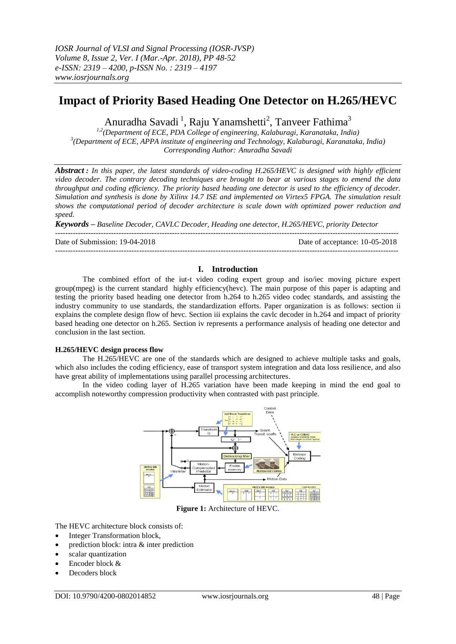# **Impact of Priority Based Heading One Detector on H.265/HEVC**

Anuradha Savadi<sup>1</sup>, Raju Yanamshetti<sup>2</sup>, Tanveer Fathima<sup>3</sup>

*1,2(Department of ECE, PDA College of engineering, Kalaburagi, Karanataka, India) 3 (Department of ECE, APPA institute of engineering and Technology, Kalaburagi, Karanataka, India) Corresponding Author: Anuradha Savadi*

*Abstract : In this paper, the latest standards of video-coding H.265/HEVC is designed with highly efficient video decoder. The contrary decoding techniques are brought to bear at various stages to emend the data throughput and coding efficiency. The priority based heading one detector is used to the efficiency of decoder. Simulation and synthesis is done by Xilinx 14.7 ISE and implemented on Virtex5 FPGA. The simulation result shows the computational period of decoder architecture is scale down with optimized power reduction and speed.*

*Keywords – Baseline Decoder, CAVLC Decoder, Heading one detector, H.265/HEVC, priority Detector* ---------------------------------------------------------------------------------------------------------------------------------------

Date of Submission: 19-04-2018 Date of acceptance: 10-05-2018

# **I. Introduction**

---------------------------------------------------------------------------------------------------------------------------------------

The combined effort of the iut-t video coding expert group and iso/iec moving picture expert group(mpeg) is the current standard highly efficiency(hevc). The main purpose of this paper is adapting and testing the priority based heading one detector from h.264 to h.265 video codec standards, and assisting the industry community to use standards, the standardization efforts. Paper organization is as follows: section ii explains the complete design flow of hevc. Section iii explains the cavlc decoder in h.264 and impact of priority based heading one detector on h.265. Section iv represents a performance analysis of heading one detector and conclusion in the last section.

## **H.265/HEVC design process flow**

The H.265/HEVC are one of the standards which are designed to achieve multiple tasks and goals, which also includes the coding efficiency, ease of transport system integration and data loss resilience, and also have great ability of implementations using parallel processing architectures.

In the video coding layer of H.265 variation have been made keeping in mind the end goal to accomplish noteworthy compression productivity when contrasted with past principle.



**Figure 1:** Architecture of HEVC.

The HEVC architecture block consists of:

- Integer Transformation block,
- prediction block: intra & inter prediction
- scalar quantization
- Encoder block &
- Decoders block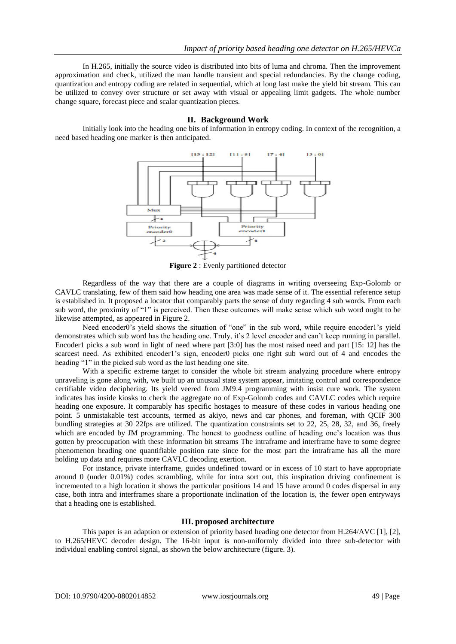In H.265, initially the source video is distributed into bits of luma and chroma. Then the improvement approximation and check, utilized the man handle transient and special redundancies. By the change coding, quantization and entropy coding are related in sequential, which at long last make the yield bit stream. This can be utilized to convey over structure or set away with visual or appealing limit gadgets. The whole number change square, forecast piece and scalar quantization pieces.

## **II. Background Work**

Initially look into the heading one bits of information in entropy coding. In context of the recognition, a need based heading one marker is then anticipated.



**Figure 2** : Evenly partitioned detector

Regardless of the way that there are a couple of diagrams in writing overseeing Exp-Golomb or CAVLC translating, few of them said how heading one area was made sense of it. The essential reference setup is established in. It proposed a locator that comparably parts the sense of duty regarding 4 sub words. From each sub word, the proximity of "1" is perceived. Then these outcomes will make sense which sub word ought to be likewise attempted, as appeared in Figure 2.

Need encoder0's yield shows the situation of "one" in the sub word, while require encoder1's yield demonstrates which sub word has the heading one. Truly, it's 2 level encoder and can't keep running in parallel. Encoder1 picks a sub word in light of need where part [3:0] has the most raised need and part [15: 12] has the scarcest need. As exhibited encoder1"s sign, encoder0 picks one right sub word out of 4 and encodes the heading "1" in the picked sub word as the last heading one site.

With a specific extreme target to consider the whole bit stream analyzing procedure where entropy unraveling is gone along with, we built up an unusual state system appear, imitating control and correspondence certifiable video deciphering. Its yield veered from JM9.4 programming with insist cure work. The system indicates has inside kiosks to check the aggregate no of Exp-Golomb codes and CAVLC codes which require heading one exposure. It comparably has specific hostages to measure of these codes in various heading one point. 5 unmistakable test accounts, termed as akiyo, news and car phones, and foreman, with QCIF 300 bundling strategies at 30 22fps are utilized. The quantization constraints set to 22, 25, 28, 32, and 36, freely which are encoded by JM programming. The honest to goodness outline of heading one's location was thus gotten by preoccupation with these information bit streams The intraframe and interframe have to some degree phenomenon heading one quantifiable position rate since for the most part the intraframe has all the more holding up data and requires more CAVLC decoding exertion.

For instance, private interframe, guides undefined toward or in excess of 10 start to have appropriate around 0 (under 0.01%) codes scrambling, while for intra sort out, this inspiration driving confinement is incremented to a high location it shows the particular positions 14 and 15 have around 0 codes dispersal in any case, both intra and interframes share a proportionate inclination of the location is, the fewer open entryways that a heading one is established.

# **III. proposed architecture**

This paper is an adaption or extension of priority based heading one detector from H.264/AVC [1], [2], to H.265/HEVC decoder design. The 16-bit input is non-uniformly divided into three sub-detector with individual enabling control signal, as shown the below architecture (figure. 3).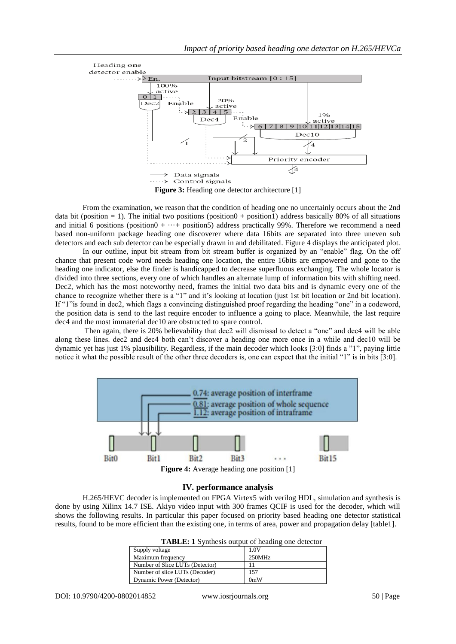

From the examination, we reason that the condition of heading one no uncertainly occurs about the 2nd data bit (position = 1). The initial two positions (position 0 + position 1) address basically 80% of all situations and initial 6 positions (position $0 + \cdots$  positions) address practically 99%. Therefore we recommend a need based non-uniform package heading one discoverer where data 16bits are separated into three uneven sub detectors and each sub detector can be especially drawn in and debilitated. Figure 4 displays the anticipated plot.

In our outline, input bit stream from bit stream buffer is organized by an "enable" flag. On the off chance that present code word needs heading one location, the entire 16bits are empowered and gone to the heading one indicator, else the finder is handicapped to decrease superfluous exchanging. The whole locator is divided into three sections, every one of which handles an alternate lump of information bits with shifting need. Dec2, which has the most noteworthy need, frames the initial two data bits and is dynamic every one of the chance to recognize whether there is a "1" and it's looking at location (just 1st bit location or 2nd bit location). If "1"is found in dec2, which flags a convincing distinguished proof regarding the heading "one" in a codeword, the position data is send to the last require encoder to influence a going to place. Meanwhile, the last require dec4 and the most immaterial dec10 are obstructed to spare control.

Then again, there is 20% believability that dec2 will dismissal to detect a "one" and dec4 will be able along these lines. dec2 and dec4 both can"t discover a heading one more once in a while and dec10 will be dynamic yet has just 1% plausibility. Regardless, if the main decoder which looks [3:0] finds a "1", paying little notice it what the possible result of the other three decoders is, one can expect that the initial "1" is in bits [3:0].



**Figure 4:** Average heading one position [1]

# **IV. performance analysis**

H.265/HEVC decoder is implemented on FPGA Virtex5 with verilog HDL, simulation and synthesis is done by using Xilinx 14.7 ISE. Akiyo video input with 300 frames QCIF is used for the decoder, which will shows the following results. In particular this paper focused on priority based heading one detector statistical results, found to be more efficient than the existing one, in terms of area, power and propagation delay [table1].

| <b>TADLE.</b> I Synthesis output of heading one detector |        |  |  |  |  |  |  |
|----------------------------------------------------------|--------|--|--|--|--|--|--|
| Supply voltage                                           | 1.0V   |  |  |  |  |  |  |
| Maximum frequency                                        | 250MHz |  |  |  |  |  |  |
| Number of Slice LUTs (Detector)                          |        |  |  |  |  |  |  |
| Number of slice LUTs (Decoder)                           | 157    |  |  |  |  |  |  |
| Dynamic Power (Detector)                                 | 0mW    |  |  |  |  |  |  |

**TABLE: 1** Synthesis output of heading one detector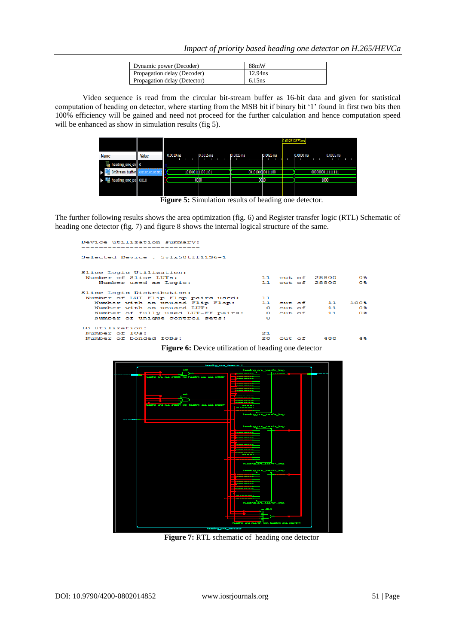| Dynamic power (Decoder)      | 88mW                |
|------------------------------|---------------------|
| Propagation delay (Decoder)  | 12.94 <sub>ns</sub> |
| Propagation delay (Detector) | 6.15ns              |

Video sequence is read from the circular bit-stream buffer as 16-bit data and given for statistical computation of heading on detector, where starting from the MSB bit if binary bit "1" found in first two bits then 100% efficiency will be gained and need not proceed for the further calculation and hence computation speed will be enhanced as show in simulation results (fig 5).

|                     |              |              |                  |                   |              |  |            |      |                  | 0.002812873 ms |            |  |      |                  |  |
|---------------------|--------------|--------------|------------------|-------------------|--------------|--|------------|------|------------------|----------------|------------|--|------|------------------|--|
| <b>Name</b>         | <b>Value</b> | $10.0010$ ms |                  |                   | $10.0015$ ms |  | 10.0020 ms |      | $ 0.0025$ ms     |                | 10.0030 ms |  |      | 10,0035 ms       |  |
| heading_one_en 0    |              |              |                  |                   |              |  |            |      |                  |                |            |  |      |                  |  |
| BitStream_buffer    |              |              | 1010101111001101 |                   |              |  |            |      | 0010101010111100 |                |            |  |      | 0000000011111111 |  |
| heading_one_po 0010 |              |              |                  | 00 <sub>D</sub> o |              |  |            | 0000 |                  |                |            |  | 1000 |                  |  |
|                     |              |              |                  |                   |              |  |            |      |                  |                |            |  |      |                  |  |

Figure 5: Simulation results of heading one detector.

The further following results shows the area optimization (fig. 6) and Register transfer logic (RTL) Schematic of heading one detector (fig. 7) and figure 8 shows the internal logical structure of the same.

| Device utilization summary:                    |    |  |                 |       |
|------------------------------------------------|----|--|-----------------|-------|
| Selected Device : 5vlx50tff1136-1              |    |  |                 |       |
| Slice Logic Utilization:                       |    |  |                 |       |
| Number of Slice LUTs:                          |    |  | 11 out of 28800 | O %   |
| Number used as Logic:                          |    |  | 11 out of 28800 | Ο Sk  |
| Slice Logic Distribution:                      |    |  |                 |       |
| Number of LUT Flip Flop pairs used: 11         |    |  |                 |       |
| Number with an unused Flip Flop: 11 out of 11  |    |  |                 | 100%  |
| Number with an unused LUT:                     |    |  | 0 out of 11     | O‰    |
| Number of fully used LUT-FF pairs: 0 out of 11 |    |  |                 | о∗⊧   |
| Number of unique control sets:                 | O  |  |                 |       |
| IO Utilization:                                |    |  |                 |       |
| Number of IOs:                                 | 21 |  |                 |       |
| Number of bonded IOBs:                         |    |  | 20 out of 480   | $4$ % |





**Figure 7:** RTL schematic of heading one detector